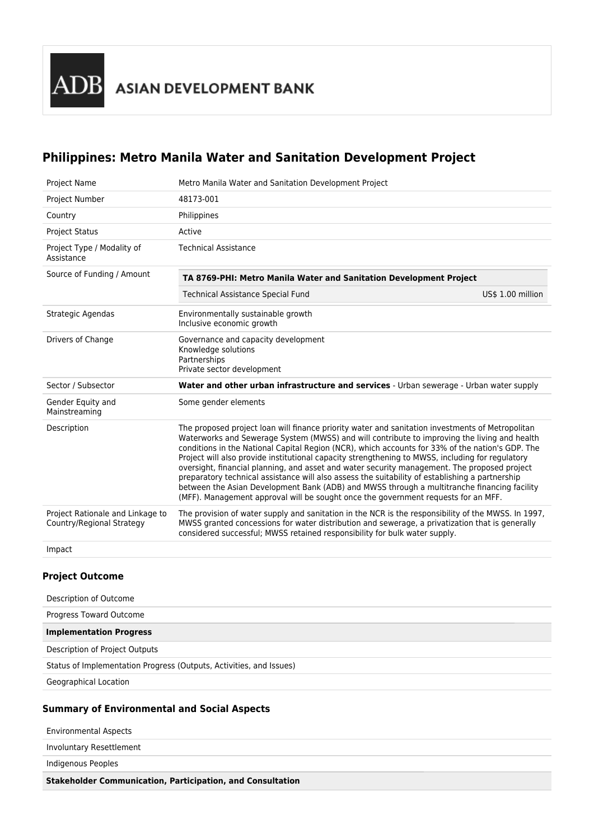# **Philippines: Metro Manila Water and Sanitation Development Project**

| <b>Project Name</b>                                           | Metro Manila Water and Sanitation Development Project                                                                                                                                                                                                                                                                                                                                                                                                                                                                                                                                                                                                                                                                                                                                            |                   |  |  |
|---------------------------------------------------------------|--------------------------------------------------------------------------------------------------------------------------------------------------------------------------------------------------------------------------------------------------------------------------------------------------------------------------------------------------------------------------------------------------------------------------------------------------------------------------------------------------------------------------------------------------------------------------------------------------------------------------------------------------------------------------------------------------------------------------------------------------------------------------------------------------|-------------------|--|--|
| Project Number                                                | 48173-001                                                                                                                                                                                                                                                                                                                                                                                                                                                                                                                                                                                                                                                                                                                                                                                        |                   |  |  |
| Country                                                       | Philippines                                                                                                                                                                                                                                                                                                                                                                                                                                                                                                                                                                                                                                                                                                                                                                                      |                   |  |  |
| <b>Project Status</b>                                         | Active                                                                                                                                                                                                                                                                                                                                                                                                                                                                                                                                                                                                                                                                                                                                                                                           |                   |  |  |
| Project Type / Modality of<br>Assistance                      | <b>Technical Assistance</b>                                                                                                                                                                                                                                                                                                                                                                                                                                                                                                                                                                                                                                                                                                                                                                      |                   |  |  |
| Source of Funding / Amount                                    | TA 8769-PHI: Metro Manila Water and Sanitation Development Project                                                                                                                                                                                                                                                                                                                                                                                                                                                                                                                                                                                                                                                                                                                               |                   |  |  |
|                                                               | <b>Technical Assistance Special Fund</b>                                                                                                                                                                                                                                                                                                                                                                                                                                                                                                                                                                                                                                                                                                                                                         | US\$ 1.00 million |  |  |
| Strategic Agendas                                             | Environmentally sustainable growth<br>Inclusive economic growth                                                                                                                                                                                                                                                                                                                                                                                                                                                                                                                                                                                                                                                                                                                                  |                   |  |  |
| Drivers of Change                                             | Governance and capacity development<br>Knowledge solutions<br>Partnerships<br>Private sector development                                                                                                                                                                                                                                                                                                                                                                                                                                                                                                                                                                                                                                                                                         |                   |  |  |
| Sector / Subsector                                            | Water and other urban infrastructure and services - Urban sewerage - Urban water supply                                                                                                                                                                                                                                                                                                                                                                                                                                                                                                                                                                                                                                                                                                          |                   |  |  |
| Gender Equity and<br>Mainstreaming                            | Some gender elements                                                                                                                                                                                                                                                                                                                                                                                                                                                                                                                                                                                                                                                                                                                                                                             |                   |  |  |
| Description                                                   | The proposed project loan will finance priority water and sanitation investments of Metropolitan<br>Waterworks and Sewerage System (MWSS) and will contribute to improving the living and health<br>conditions in the National Capital Region (NCR), which accounts for 33% of the nation's GDP. The<br>Project will also provide institutional capacity strengthening to MWSS, including for regulatory<br>oversight, financial planning, and asset and water security management. The proposed project<br>preparatory technical assistance will also assess the suitability of establishing a partnership<br>between the Asian Development Bank (ADB) and MWSS through a multitranche financing facility<br>(MFF). Management approval will be sought once the government requests for an MFF. |                   |  |  |
| Project Rationale and Linkage to<br>Country/Regional Strategy | The provision of water supply and sanitation in the NCR is the responsibility of the MWSS. In 1997,<br>MWSS granted concessions for water distribution and sewerage, a privatization that is generally<br>considered successful; MWSS retained responsibility for bulk water supply.                                                                                                                                                                                                                                                                                                                                                                                                                                                                                                             |                   |  |  |
| Impact                                                        |                                                                                                                                                                                                                                                                                                                                                                                                                                                                                                                                                                                                                                                                                                                                                                                                  |                   |  |  |

### **Project Outcome**

| Description of Outcome                                              |
|---------------------------------------------------------------------|
| Progress Toward Outcome                                             |
| <b>Implementation Progress</b>                                      |
| Description of Project Outputs                                      |
| Status of Implementation Progress (Outputs, Activities, and Issues) |
| Geographical Location                                               |

## **Summary of Environmental and Social Aspects**

| <b>Environmental Aspects</b> |  |
|------------------------------|--|
|                              |  |
| Involuntary Resettlement     |  |
| Indigenous Peoples           |  |
|                              |  |

**Stakeholder Communication, Participation, and Consultation**